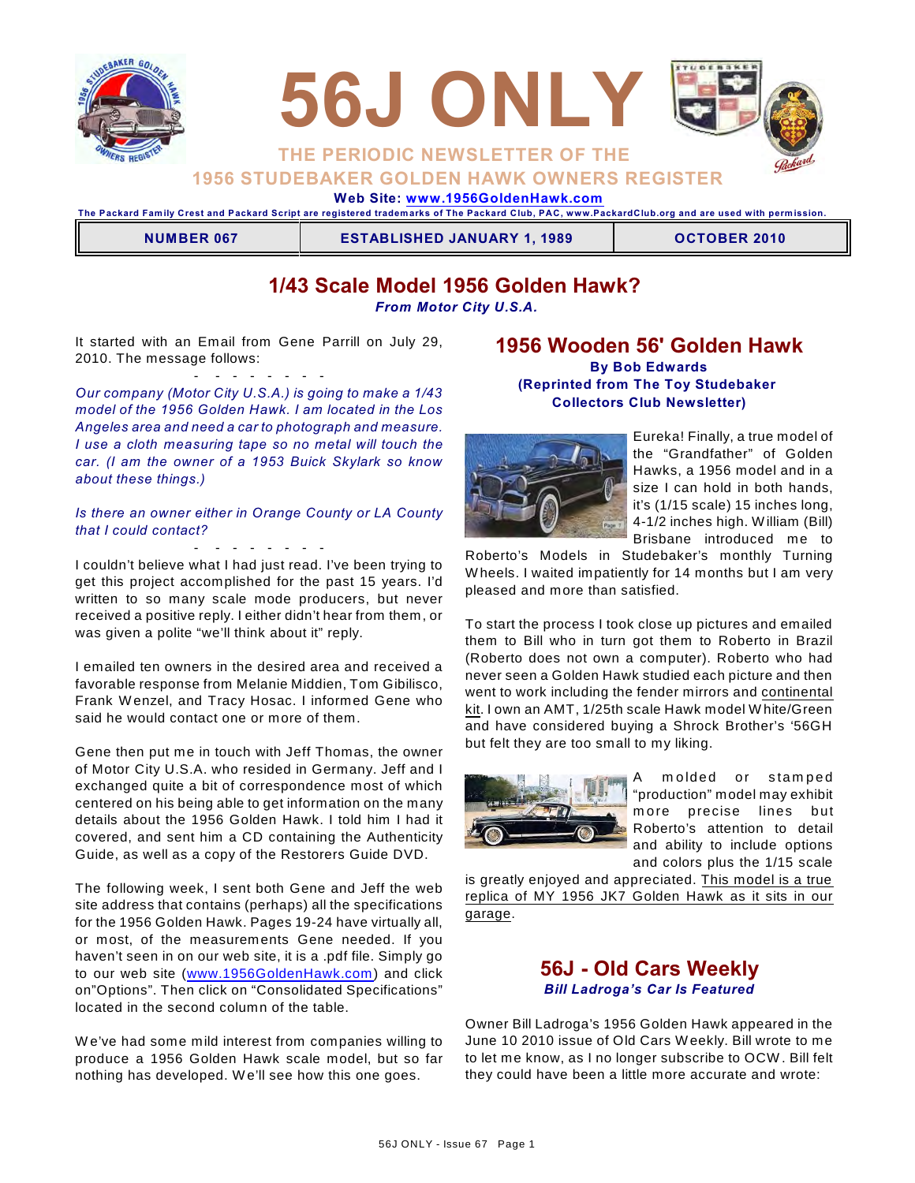



# **1956 STUDEBAKER GOLDEN HAWK OWNERS REGISTER**

 **Web Site: [www.1956GoldenHawk.com](http://www.1956GoldenHawk.com)**

**The Packard Fam ily Crest and Packard Script are registered tradem arks of The Packard Club, PAC, www.PackardClub.org and are used with perm ission.** 

**NUMBER 067 ESTABLISHED JANUARY 1, 1989 OCTOBER 2010** 

# **1/43 Scale Model 1956 Golden Hawk?**

*From Motor City U.S.A.*

It started with an Email from Gene Parrill on July 29, 2010. The message follows:

- - - - - - - - *Our company (Motor City U.S.A.) is going to make a 1/43 model of the 1956 Golden Hawk. I am located in the Los Angeles area and need a car to photograph and measure. I use a cloth measuring tape so no metal will touch the car. (I am the owner of a 1953 Buick Skylark so know about these things.)*

*Is there an owner either in Orange County or LA County that I could contact?*

- - - - - - - -

I couldn't believe what I had just read. I've been trying to get this project accomplished for the past 15 years. I'd written to so many scale mode producers, but never received a positive reply. I either didn't hear from them, or was given a polite "we'll think about it" reply.

I emailed ten owners in the desired area and received a favorable response from Melanie Middien, Tom Gibilisco, Frank W enzel, and Tracy Hosac. I informed Gene who said he would contact one or more of them.

Gene then put me in touch with Jeff Thomas, the owner of Motor City U.S.A. who resided in Germany. Jeff and I exchanged quite a bit of correspondence most of which centered on his being able to get information on the many details about the 1956 Golden Hawk. I told him I had it covered, and sent him a CD containing the Authenticity Guide, as well as a copy of the Restorers Guide DVD.

The following week, I sent both Gene and Jeff the web site address that contains (perhaps) all the specifications for the 1956 Golden Hawk. Pages 19-24 have virtually all, or most, of the measurements Gene needed. If you haven't seen in on our web site, it is a .pdf file. Simply go to our web site ([www.1956GoldenHawk.com](http://www.1956GoldenHawk.com)) and click on"Options". Then click on "Consolidated Specifications" located in the second column of the table.

W e've had some mild interest from companies willing to produce a 1956 Golden Hawk scale model, but so far nothing has developed. W e'll see how this one goes.

### **1956 Wooden 56' Golden Hawk By Bob Edwards (Reprinted from The Toy Studebaker Collectors Club Newsletter)**



Eureka! Finally, a true model of the "Grandfather" of Golden Hawks, a 1956 model and in a size I can hold in both hands, it's (1/15 scale) 15 inches long, 4-1/2 inches high. W illiam (Bill) Brisbane introduced me to

Roberto's Models in Studebaker's monthly Turning W heels. I waited impatiently for 14 months but I am very pleased and more than satisfied.

To start the process I took close up pictures and emailed them to Bill who in turn got them to Roberto in Brazil (Roberto does not own a computer). Roberto who had never seen a Golden Hawk studied each picture and then went to work including the fender mirrors and continental kit. I own an AMT, 1/25th scale Hawk model W hite/Green and have considered buying a Shrock Brother's '56GH but felt they are too small to my liking.



A molded or stamped "production" model may exhibit m ore precise lines but Roberto's attention to detail and ability to include options and colors plus the 1/15 scale

is greatly enjoyed and appreciated. This model is a true replica of MY 1956 JK7 Golden Hawk as it sits in our garage.

## **56J - Old Cars Weekly** *Bill Ladroga's Car Is Featured*

Owner Bill Ladroga's 1956 Golden Hawk appeared in the June 10 2010 issue of Old Cars W eekly. Bill wrote to me to let me know, as I no longer subscribe to OCW . Bill felt they could have been a little more accurate and wrote: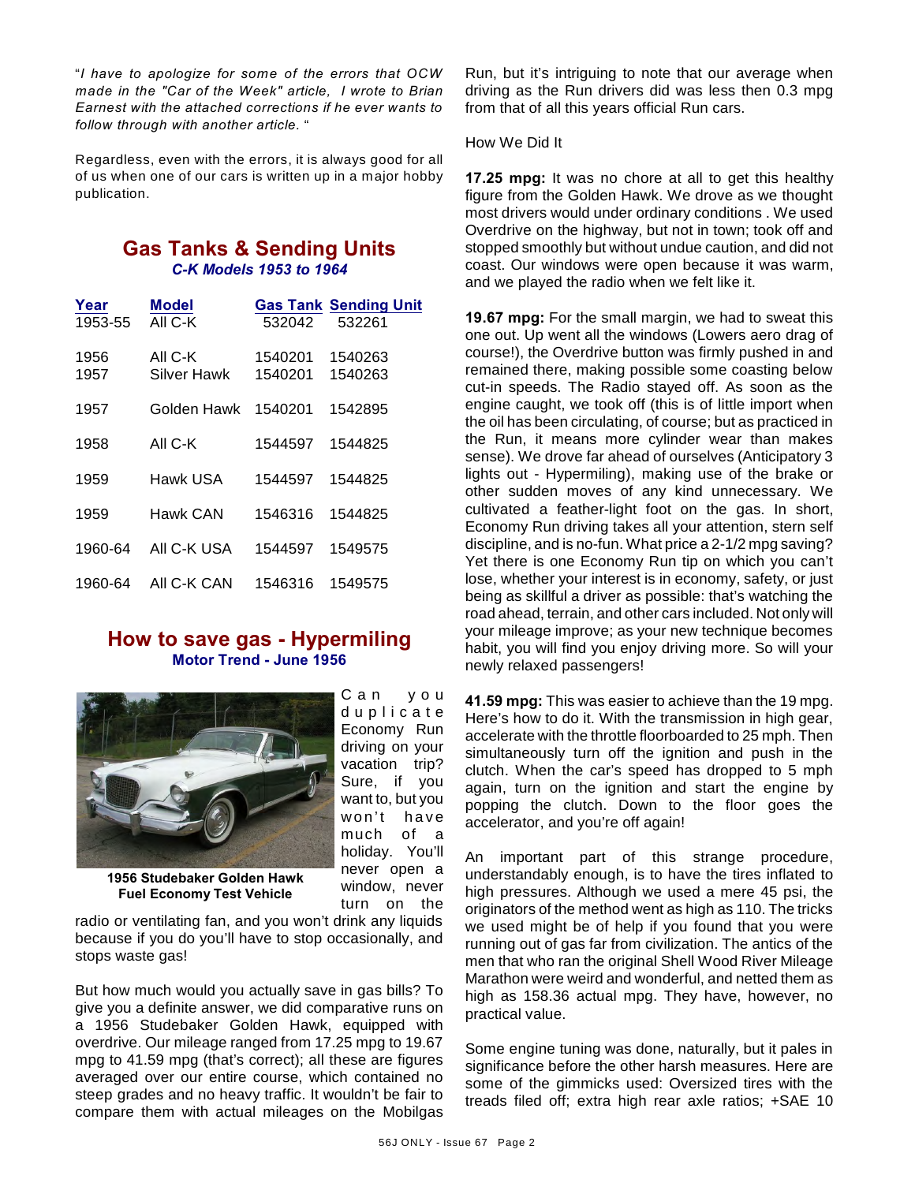"*I have to apologize for some of the errors that OCW made in the "Car of the Week" article, I wrote to Brian Earnest with the attached corrections if he ever wants to follow through with another article.* "

Regardless, even with the errors, it is always good for all of us when one of our cars is written up in a major hobby publication.

## **Gas Tanks & Sending Units** *C-K Models 1953 to 1964*

| Year    | Model       |         | <b>Gas Tank Sending Unit</b> |
|---------|-------------|---------|------------------------------|
| 1953-55 | AII C-K     | 532042  | 532261                       |
| 1956    | AII C-K     | 1540201 | 1540263                      |
| 1957    | Silver Hawk | 1540201 | 1540263                      |
| 1957    | Golden Hawk | 1540201 | 1542895                      |
| 1958    | AII C-K     | 1544597 | 1544825                      |
| 1959    | Hawk USA    | 1544597 | 1544825                      |
| 1959    | Hawk CAN    | 1546316 | 1544825                      |
| 1960-64 | AII C-K USA | 1544597 | 1549575                      |
| 1960-64 | AII C-K CAN | 1546316 | 1549575                      |

### **How to save gas - Hypermiling Motor Trend - June 1956**

C a n y o u d u p l i c a t e Economy Run driving on your vacation trip? Sure, if you want to, but you won't have much of a holiday. You'll never open a window, never turn on the



**1956 Studebaker Golden Hawk Fuel Economy Test Vehicle**

radio or ventilating fan, and you won't drink any liquids because if you do you'll have to stop occasionally, and stops waste gas!

But how much would you actually save in gas bills? To give you a definite answer, we did comparative runs on a 1956 Studebaker Golden Hawk, equipped with overdrive. Our mileage ranged from 17.25 mpg to 19.67 mpg to 41.59 mpg (that's correct); all these are figures averaged over our entire course, which contained no steep grades and no heavy traffic. It wouldn't be fair to compare them with actual mileages on the Mobilgas

Run, but it's intriguing to note that our average when driving as the Run drivers did was less then 0.3 mpg from that of all this years official Run cars.

How We Did It

**17.25 mpg:** It was no chore at all to get this healthy figure from the Golden Hawk. We drove as we thought most drivers would under ordinary conditions . We used Overdrive on the highway, but not in town; took off and stopped smoothly but without undue caution, and did not coast. Our windows were open because it was warm, and we played the radio when we felt like it.

**19.67 mpg:** For the small margin, we had to sweat this one out. Up went all the windows (Lowers aero drag of course!), the Overdrive button was firmly pushed in and remained there, making possible some coasting below cut-in speeds. The Radio stayed off. As soon as the engine caught, we took off (this is of little import when the oil has been circulating, of course; but as practiced in the Run, it means more cylinder wear than makes sense). We drove far ahead of ourselves (Anticipatory 3 lights out - Hypermiling), making use of the brake or other sudden moves of any kind unnecessary. We cultivated a feather-light foot on the gas. In short, Economy Run driving takes all your attention, stern self discipline, and is no-fun. What price a 2-1/2 mpg saving? Yet there is one Economy Run tip on which you can't lose, whether your interest is in economy, safety, or just being as skillful a driver as possible: that's watching the road ahead, terrain, and other cars included. Not only will your mileage improve; as your new technique becomes habit, you will find you enjoy driving more. So will your newly relaxed passengers!

**41.59 mpg:** This was easier to achieve than the 19 mpg. Here's how to do it. With the transmission in high gear, accelerate with the throttle floorboarded to 25 mph. Then simultaneously turn off the ignition and push in the clutch. When the car's speed has dropped to 5 mph again, turn on the ignition and start the engine by popping the clutch. Down to the floor goes the accelerator, and you're off again!

An important part of this strange procedure, understandably enough, is to have the tires inflated to high pressures. Although we used a mere 45 psi, the originators of the method went as high as 110. The tricks we used might be of help if you found that you were running out of gas far from civilization. The antics of the men that who ran the original Shell Wood River Mileage Marathon were weird and wonderful, and netted them as high as 158.36 actual mpg. They have, however, no practical value.

Some engine tuning was done, naturally, but it pales in significance before the other harsh measures. Here are some of the gimmicks used: Oversized tires with the treads filed off; extra high rear axle ratios; +SAE 10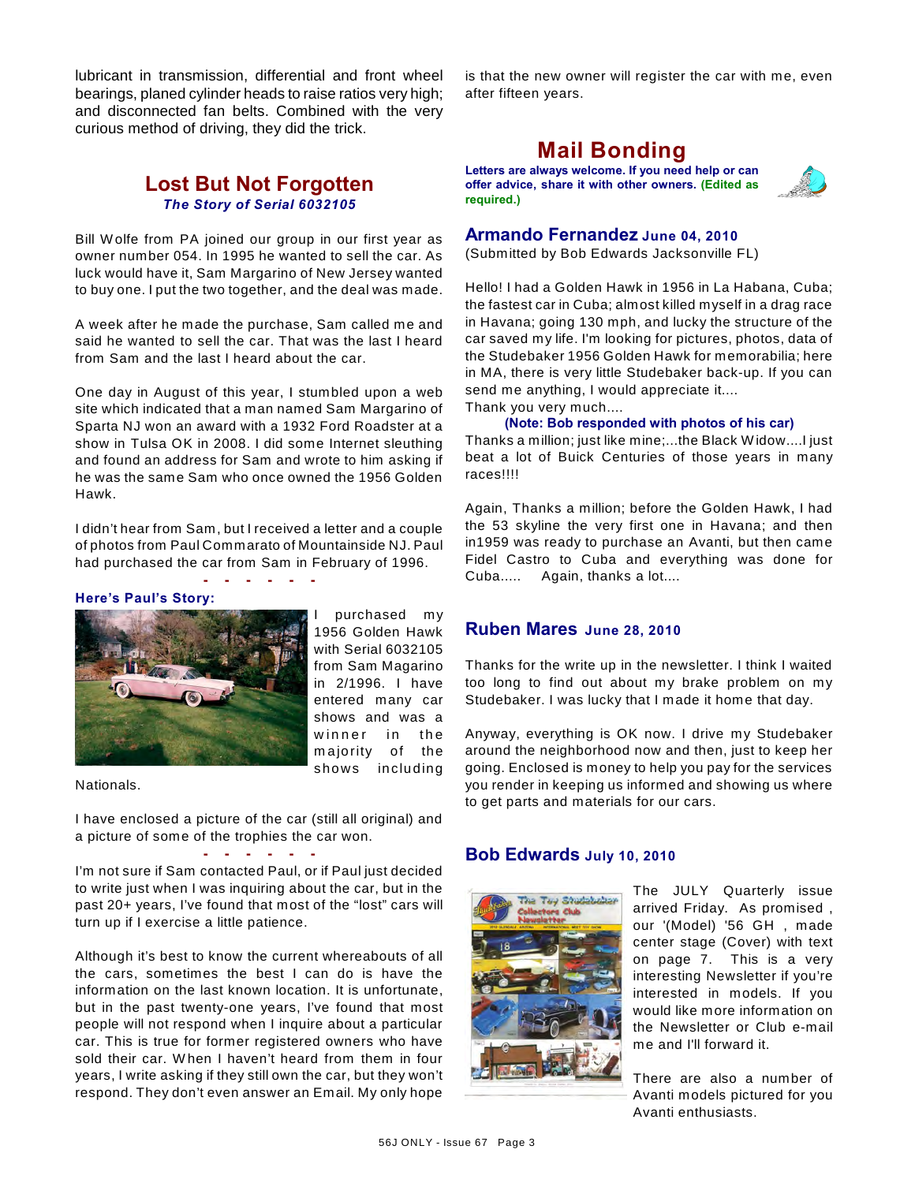lubricant in transmission, differential and front wheel bearings, planed cylinder heads to raise ratios very high; and disconnected fan belts. Combined with the very curious method of driving, they did the trick.

## **Lost But Not Forgotten** *The Story of Serial 6032105*

Bill W olfe from PA joined our group in our first year as owner number 054. In 1995 he wanted to sell the car. As luck would have it, Sam Margarino of New Jersey wanted to buy one. I put the two together, and the deal was made.

A week after he made the purchase, Sam called me and said he wanted to sell the car. That was the last I heard from Sam and the last I heard about the car.

One day in August of this year, I stumbled upon a web site which indicated that a man named Sam Margarino of Sparta NJ won an award with a 1932 Ford Roadster at a show in Tulsa OK in 2008. I did some Internet sleuthing and found an address for Sam and wrote to him asking if he was the same Sam who once owned the 1956 Golden Hawk.

I didn't hear from Sam, but I received a letter and a couple of photos from Paul Commarato of Mountainside NJ. Paul had purchased the car from Sam in February of 1996.

**- - - - - -**

#### **Here's Paul's Story:**



purchased my 1956 Golden Hawk with Serial 6032105 from Sam Magarino in 2/1996. I have entered many car shows and was a winner in the m ajority of the shows including

Nationals.

I have enclosed a picture of the car (still all original) and a picture of some of the trophies the car won.

**- - - - - -** I'm not sure if Sam contacted Paul, or if Paul just decided to write just when I was inquiring about the car, but in the past 20+ years, I've found that most of the "lost" cars will turn up if I exercise a little patience.

Although it's best to know the current whereabouts of all the cars, sometimes the best I can do is have the information on the last known location. It is unfortunate, but in the past twenty-one years, I've found that most people will not respond when I inquire about a particular car. This is true for former registered owners who have sold their car. W hen I haven't heard from them in four years, I write asking if they still own the car, but they won't respond. They don't even answer an Email. My only hope

is that the new owner will register the car with me, even after fifteen years.

# **Mail Bonding**

**Letters are always welcome. If you need help or can offer advice, share it with other owners. (Edited as required.)**



### **Armando Fernandez June 04, 2010**

(Submitted by Bob Edwards Jacksonville FL)

Hello! I had a Golden Hawk in 1956 in La Habana, Cuba; the fastest car in Cuba; almost killed myself in a drag race in Havana; going 130 mph, and lucky the structure of the car saved my life. I'm looking for pictures, photos, data of the Studebaker 1956 Golden Hawk for memorabilia; here in MA, there is very little Studebaker back-up. If you can send me anything, I would appreciate it.... Thank you very much....

**(Note: Bob responded with photos of his car)**

Thanks a million; just like mine;...the Black W idow....I just beat a lot of Buick Centuries of those years in many races!!!!

Again, Thanks a million; before the Golden Hawk, I had the 53 skyline the very first one in Havana; and then in1959 was ready to purchase an Avanti, but then came Fidel Castro to Cuba and everything was done for Cuba..... Again, thanks a lot....

#### **Ruben Mares June 28, 2010**

Thanks for the write up in the newsletter. I think I waited too long to find out about my brake problem on my Studebaker. I was lucky that I made it home that day.

Anyway, everything is OK now. I drive my Studebaker around the neighborhood now and then, just to keep her going. Enclosed is money to help you pay for the services you render in keeping us informed and showing us where to get parts and materials for our cars.

#### **Bob Edwards July 10, 2010**



The JULY Quarterly issue arrived Friday. As promised , our '(Model) '56 GH , made center stage (Cover) with text on page 7. This is a very interesting Newsletter if you're interested in models. If you would like more information on the Newsletter or Club e-mail me and I'll forward it.

There are also a number of Avanti models pictured for you Avanti enthusiasts.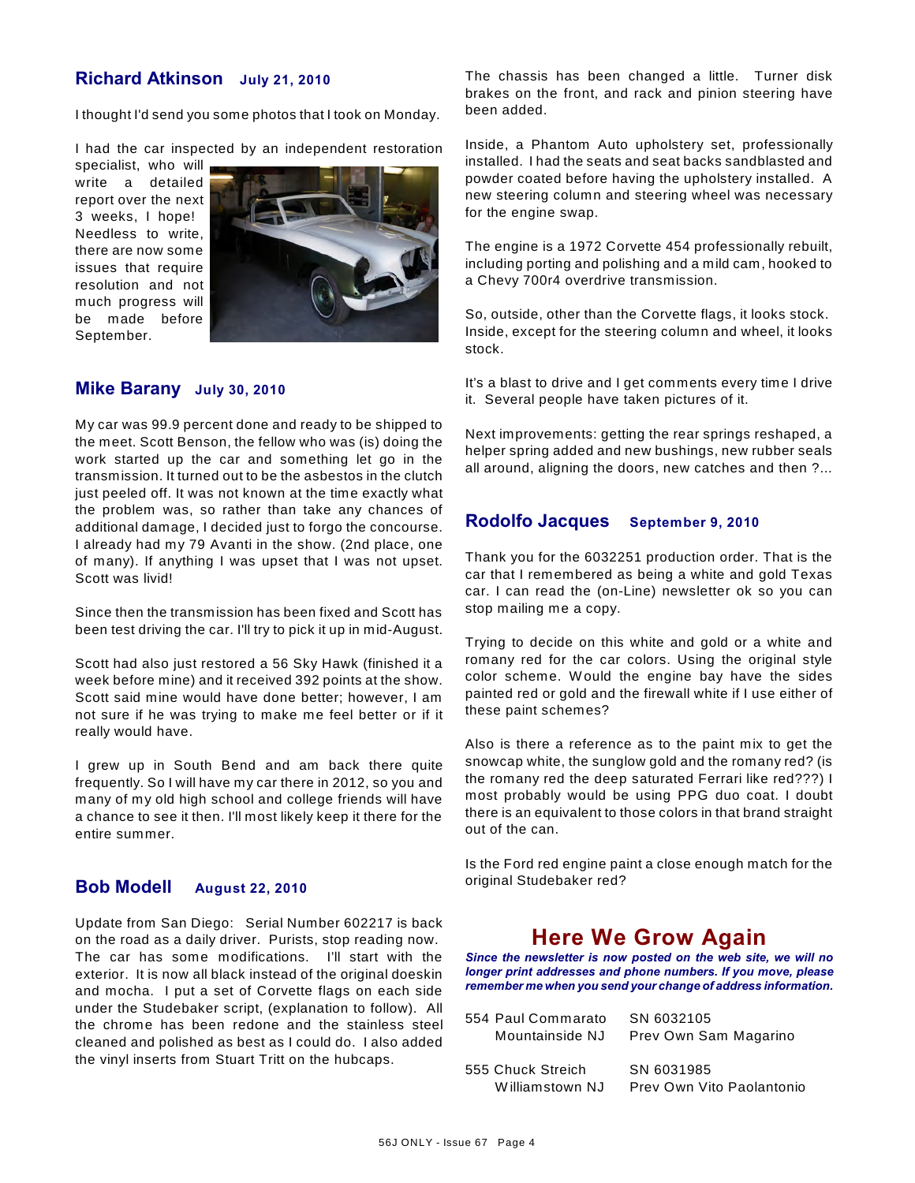### **Richard Atkinson July 21, 2010**

I thought I'd send you some photos that I took on Monday.

I had the car inspected by an independent restoration

specialist, who will write a detailed report over the next 3 weeks, I hope! Needless to write, there are now some issues that require resolution and not much progress will be made before September.



### **Mike Barany July 30, 2010**

My car was 99.9 percent done and ready to be shipped to the meet. Scott Benson, the fellow who was (is) doing the work started up the car and something let go in the transmission. It turned out to be the asbestos in the clutch just peeled off. It was not known at the time exactly what the problem was, so rather than take any chances of additional damage, I decided just to forgo the concourse. I already had my 79 Avanti in the show. (2nd place, one of many). If anything I was upset that I was not upset. Scott was livid!

Since then the transmission has been fixed and Scott has been test driving the car. I'll try to pick it up in mid-August.

Scott had also just restored a 56 Sky Hawk (finished it a week before mine) and it received 392 points at the show. Scott said mine would have done better; however, I am not sure if he was trying to make me feel better or if it really would have.

I grew up in South Bend and am back there quite frequently. So I will have my car there in 2012, so you and many of my old high school and college friends will have a chance to see it then. I'll most likely keep it there for the entire summer.

### **Bob Modell August 22, 2010**

Update from San Diego: Serial Number 602217 is back on the road as a daily driver. Purists, stop reading now. The car has some modifications. I'll start with the exterior. It is now all black instead of the original doeskin and mocha. I put a set of Corvette flags on each side under the Studebaker script, (explanation to follow). All the chrome has been redone and the stainless steel cleaned and polished as best as I could do. I also added the vinyl inserts from Stuart Tritt on the hubcaps.

The chassis has been changed a little. Turner disk brakes on the front, and rack and pinion steering have been added.

Inside, a Phantom Auto upholstery set, professionally installed. I had the seats and seat backs sandblasted and powder coated before having the upholstery installed. A new steering column and steering wheel was necessary for the engine swap.

The engine is a 1972 Corvette 454 professionally rebuilt, including porting and polishing and a mild cam, hooked to a Chevy 700r4 overdrive transmission.

So, outside, other than the Corvette flags, it looks stock. Inside, except for the steering column and wheel, it looks stock.

It's a blast to drive and I get comments every time I drive it. Several people have taken pictures of it.

Next improvements: getting the rear springs reshaped, a helper spring added and new bushings, new rubber seals all around, aligning the doors, new catches and then ?...

### **Rodolfo Jacques September 9, 2010**

Thank you for the 6032251 production order. That is the car that I remembered as being a white and gold Texas car. I can read the (on-Line) newsletter ok so you can stop mailing me a copy.

Trying to decide on this white and gold or a white and romany red for the car colors. Using the original style color scheme. W ould the engine bay have the sides painted red or gold and the firewall white if I use either of these paint schemes?

Also is there a reference as to the paint mix to get the snowcap white, the sunglow gold and the romany red? (is the romany red the deep saturated Ferrari like red???) I most probably would be using PPG duo coat. I doubt there is an equivalent to those colors in that brand straight out of the can.

Is the Ford red engine paint a close enough match for the original Studebaker red?

## **Here We Grow Again**

*Since the newsletter is now posted on the web site, we will no longer print addresses and phone numbers. If you move, please remember me when you send your change of address information.*

| 554 Paul Commarato | SN 6032105                |
|--------------------|---------------------------|
| Mountainside NJ    | Prev Own Sam Magarino     |
|                    |                           |
| 555 Chuck Streich  | SN 6031985                |
| Williamstown NJ    | Prev Own Vito Paolantonio |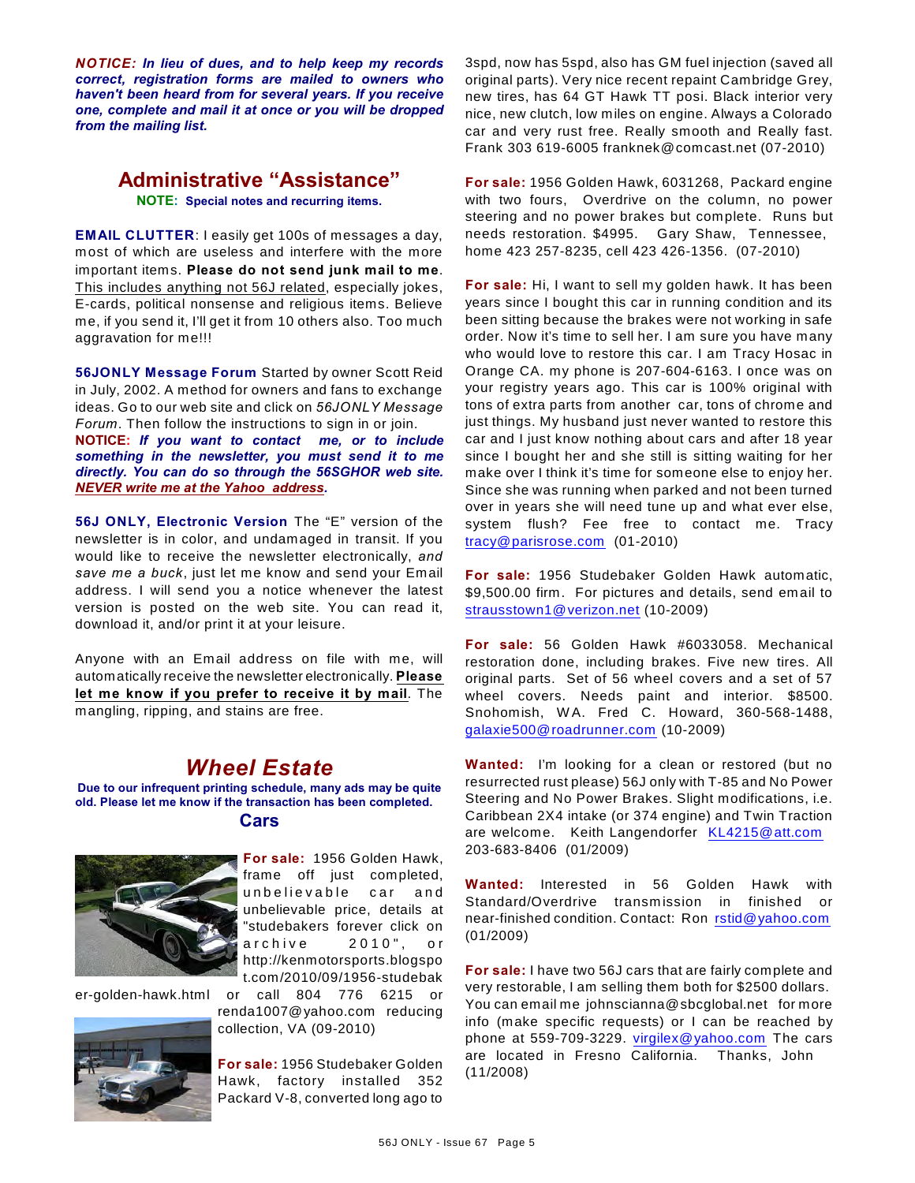*NOTICE: In lieu of dues, and to help keep my records correct, registration forms are mailed to owners who haven't been heard from for several years. If you receive one, complete and mail it at once or you will be dropped from the mailing list.*

### **Administrative "Assistance" NOTE: Special notes and recurring items.**

**EMAIL CLUTTER**: I easily get 100s of messages a day, most of which are useless and interfere with the more important items. **Please do not send junk mail to me**. This includes anything not 56J related, especially jokes, E-cards, political nonsense and religious items. Believe me, if you send it, I'll get it from 10 others also. Too much aggravation for me!!!

**56JONLY Message Forum** Started by owner Scott Reid in July, 2002. A method for owners and fans to exchange ideas. Go to our web site and click on *56JONLY Message Forum*. Then follow the instructions to sign in or join. **NOTICE:** *If you want to contact me, or to include something in the newsletter, you must send it to me directly. You can do so through the 56SGHOR web site. NEVER write me at the Yahoo address.*

**56J ONLY, Electronic Version** The "E" version of the newsletter is in color, and undamaged in transit. If you would like to receive the newsletter electronically, *and save me a buck*, just let me know and send your Email address. I will send you a notice whenever the latest version is posted on the web site. You can read it, download it, and/or print it at your leisure.

Anyone with an Email address on file with me, will automatically receive the newsletter electronically. **Please let me know if you prefer to receive it by mail**. The mangling, ripping, and stains are free.

## *Wheel Estate*

**Due to our infrequent printing schedule, many ads may be quite old. Please let me know if the transaction has been completed. Cars**



**For sale:** 1956 Golden Hawk, frame off just completed, unbelievable car and unbelievable price, details at "studebakers forever click on a r chive 2010", or http://kenmotorsports.blogspo t.com/2010/09/1956-studebak

er-golden-hawk.html or call 804 776 6215 or



renda1007@yahoo.com reducing collection, VA (09-2010)

**For sale:** 1956 Studebaker Golden Hawk, factory installed 352 Packard V-8, converted long ago to 3spd, now has 5spd, also has GM fuel injection (saved all original parts). Very nice recent repaint Cambridge Grey, new tires, has 64 GT Hawk TT posi. Black interior very nice, new clutch, low miles on engine. Always a Colorado car and very rust free. Really smooth and Really fast. Frank 303 619-6005 franknek@comcast.net (07-2010)

**For sale:** 1956 Golden Hawk, 6031268, Packard engine with two fours, Overdrive on the column, no power steering and no power brakes but complete. Runs but needs restoration. \$4995. Gary Shaw, Tennessee, home 423 257-8235, cell 423 426-1356. (07-2010)

**For sale:** Hi, I want to sell my golden hawk. It has been years since I bought this car in running condition and its been sitting because the brakes were not working in safe order. Now it's time to sell her. I am sure you have many who would love to restore this car. I am Tracy Hosac in Orange CA. my phone is 207-604-6163. I once was on your registry years ago. This car is 100% original with tons of extra parts from another car, tons of chrome and just things. My husband just never wanted to restore this car and I just know nothing about cars and after 18 year since I bought her and she still is sitting waiting for her make over I think it's time for someone else to enjoy her. Since she was running when parked and not been turned over in years she will need tune up and what ever else, system flush? Fee free to contact me. Tracy [tracy@parisrose.com](mailto:tracy@parisrose.com) (01-2010)

**For sale:** 1956 Studebaker Golden Hawk automatic, \$9,500.00 firm. For pictures and details, send email to [strausstown1@verizon.net](mailto:strausstown1@verizon.net) (10-2009)

**For sale:** 56 Golden Hawk #6033058. Mechanical restoration done, including brakes. Five new tires. All original parts. Set of 56 wheel covers and a set of 57 wheel covers. Needs paint and interior. \$8500. Snohomish, W A. Fred C. Howard, 360-568-1488, [galaxie500@roadrunner.com](mailto:galaxie500@roadrunner.com) (10-2009)

**Wanted:** I'm looking for a clean or restored (but no resurrected rust please) 56J only with T-85 and No Power Steering and No Power Brakes. Slight modifications, i.e. Caribbean 2X4 intake (or 374 engine) and Twin Traction are welcome. Keith Langendorfer [KL4215@att.com](mailto:KL4215@att.com) 203-683-8406 (01/2009)

**Wanted:** Interested in 56 Golden Hawk with Standard/Overdrive transmission in finished or near-finished condition. Contact: Ron [rstid@yahoo.com](mailto:rstid@yahoo.com) (01/2009)

**For sale:** I have two 56J cars that are fairly complete and very restorable, I am selling them both for \$2500 dollars. You can email me johnscianna@sbcglobal.net for more info (make specific requests) or I can be reached by phone at 559-709-3229. [virgilex@yahoo.com](mailto:virgilex@yahoo.com) The cars are located in Fresno California. Thanks, John (11/2008)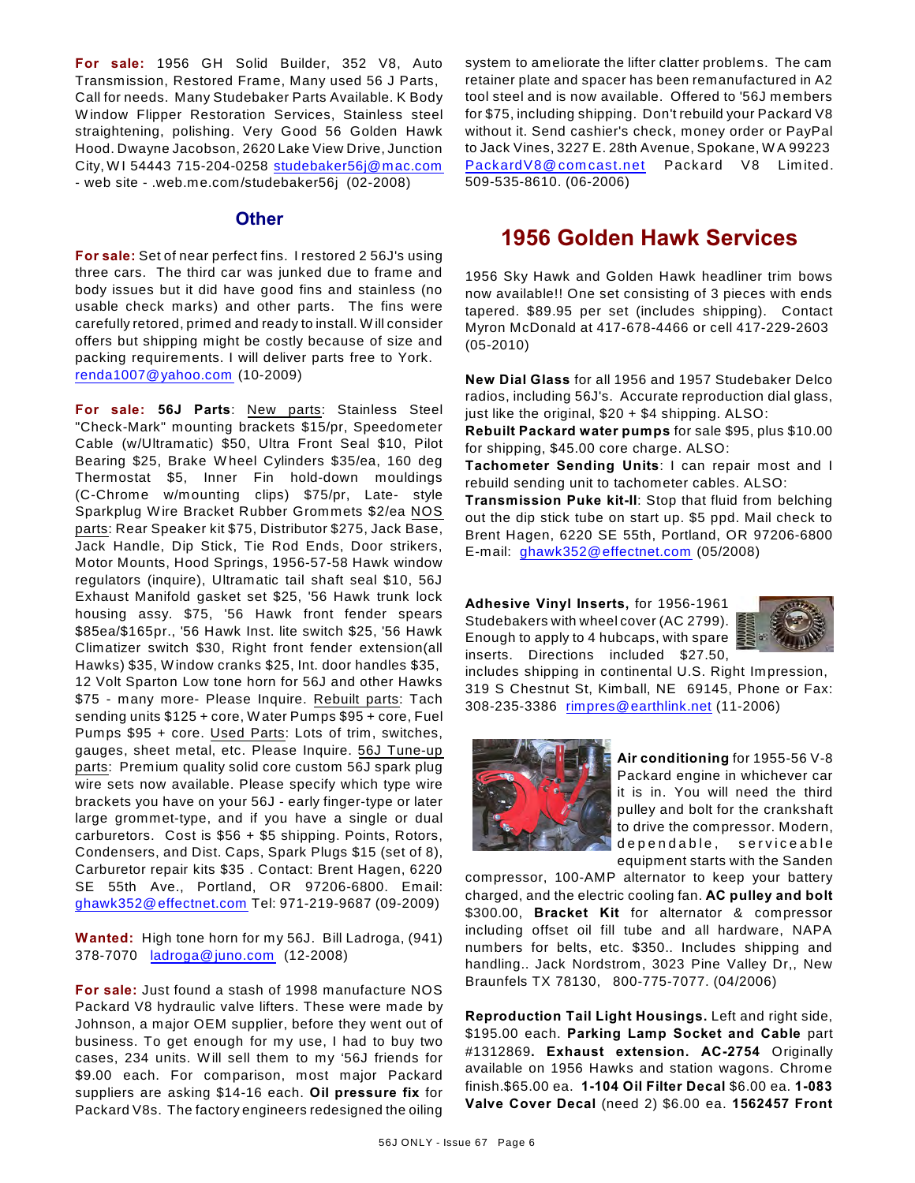**For sale:** 1956 GH Solid Builder, 352 V8, Auto Transmission, Restored Frame, Many used 56 J Parts, Call for needs. Many Studebaker Parts Available. K Body W indow Flipper Restoration Services, Stainless steel straightening, polishing. Very Good 56 Golden Hawk Hood. Dwayne Jacobson, 2620 Lake View Drive, Junction City, WI 54443 715-204-0258 [studebaker56j@mac.com](mailto:studebaker56j@mac.com) - web site - .web.me.com/studebaker56j (02-2008)

### **Other**

**For sale:** Set of near perfect fins. I restored 2 56J's using three cars. The third car was junked due to frame and body issues but it did have good fins and stainless (no usable check marks) and other parts. The fins were carefully retored, primed and ready to install. W ill consider offers but shipping might be costly because of size and packing requirements. I will deliver parts free to York. [renda1007@yahoo.com](mailto:renda1007@yahoo.com) (10-2009)

**For sale: 56J Parts**: New parts: Stainless Steel "Check-Mark" mounting brackets \$15/pr, Speedometer Cable (w/Ultramatic) \$50, Ultra Front Seal \$10, Pilot Bearing \$25, Brake W heel Cylinders \$35/ea, 160 deg Thermostat \$5, Inner Fin hold-down mouldings (C-Chrome w/mounting clips) \$75/pr, Late- style Sparkplug W ire Bracket Rubber Grommets \$2/ea NOS parts: Rear Speaker kit \$75, Distributor \$275, Jack Base, Jack Handle, Dip Stick, Tie Rod Ends, Door strikers, Motor Mounts, Hood Springs, 1956-57-58 Hawk window regulators (inquire), Ultramatic tail shaft seal \$10, 56J Exhaust Manifold gasket set \$25, '56 Hawk trunk lock housing assy. \$75, '56 Hawk front fender spears \$85ea/\$165pr., '56 Hawk Inst. lite switch \$25, '56 Hawk Climatizer switch \$30, Right front fender extension(all Hawks) \$35, W indow cranks \$25, Int. door handles \$35, 12 Volt Sparton Low tone horn for 56J and other Hawks \$75 - many more- Please Inquire. Rebuilt parts: Tach sending units \$125 + core, W ater Pumps \$95 + core, Fuel Pumps \$95 + core. Used Parts: Lots of trim, switches, gauges, sheet metal, etc. Please Inquire. 56J Tune-up parts: Premium quality solid core custom 56J spark plug wire sets now available. Please specify which type wire brackets you have on your 56J - early finger-type or later large grommet-type, and if you have a single or dual carburetors. Cost is \$56 + \$5 shipping. Points, Rotors, Condensers, and Dist. Caps, Spark Plugs \$15 (set of 8), Carburetor repair kits \$35 . Contact: Brent Hagen, 6220 SE 55th Ave., Portland, OR 97206-6800. Email: [ghawk352@effectnet.com](mailto:ghawk352@effectnet.com) Tel: 971-219-9687 (09-2009)

**Wanted:** High tone horn for my 56J. Bill Ladroga, (941) 378-7070 [ladroga@juno.com](mailto:ladroga@juno.com) (12-2008)

**For sale:** Just found a stash of 1998 manufacture NOS Packard V8 hydraulic valve lifters. These were made by Johnson, a major OEM supplier, before they went out of business. To get enough for my use, I had to buy two cases, 234 units. W ill sell them to my '56J friends for \$9.00 each. For comparison, most major Packard suppliers are asking \$14-16 each. **Oil pressure fix** for Packard V8s. The factory engineers redesigned the oiling

system to ameliorate the lifter clatter problems. The cam retainer plate and spacer has been remanufactured in A2 tool steel and is now available. Offered to '56J members for \$75, including shipping. Don't rebuild your Packard V8 without it. Send cashier's check, money order or PayPal to Jack Vines, 3227 E. 28th Avenue, Spokane, W A 99223 PackardV8@comcast.net Packard V8 Limited. 509-535-8610. (06-2006)

# **1956 Golden Hawk Services**

1956 Sky Hawk and Golden Hawk headliner trim bows now available!! One set consisting of 3 pieces with ends tapered. \$89.95 per set (includes shipping). Contact Myron McDonald at 417-678-4466 or cell 417-229-2603 (05-2010)

**New Dial Glass** for all 1956 and 1957 Studebaker Delco radios, including 56J's. Accurate reproduction dial glass, just like the original, \$20 + \$4 shipping. ALSO:

**Rebuilt Packard water pumps** for sale \$95, plus \$10.00 for shipping, \$45.00 core charge. ALSO:

**Tachometer Sending Units**: I can repair most and I rebuild sending unit to tachometer cables. ALSO:

**Transmission Puke kit-II**: Stop that fluid from belching out the dip stick tube on start up. \$5 ppd. Mail check to Brent Hagen, 6220 SE 55th, Portland, OR 97206-6800 E-mail: [ghawk352@effectnet.com](mailto:ghawk352@effectnet.com) (05/2008)

**Adhesive Vinyl Inserts,** for 1956-1961 Studebakers with wheel cover (AC 2799). Enough to apply to 4 hubcaps, with spare inserts. Directions included \$27.50,



includes shipping in continental U.S. Right Impression, 319 S Chestnut St, Kimball, NE 69145, Phone or Fax: 308-235-3386 [rimpres@earthlink.net](mailto:rimpres@earthlink.net) (11-2006)



**Air conditioning** for 1955-56 V-8 Packard engine in whichever car it is in. You will need the third pulley and bolt for the crankshaft to drive the compressor. Modern, dependable, serviceable equipment starts with the Sanden

compressor, 100-AMP alternator to keep your battery charged, and the electric cooling fan. **AC pulley and bolt** \$300.00, **Bracket Kit** for alternator & compressor including offset oil fill tube and all hardware, NAPA numbers for belts, etc. \$350.. Includes shipping and handling.. Jack Nordstrom, 3023 Pine Valley Dr,, New Braunfels TX 78130, 800-775-7077. (04/2006)

**Reproduction Tail Light Housings.** Left and right side, \$195.00 each. **Parking Lamp Socket and Cable** part #1312869**. Exhaust extension. AC-2754** Originally available on 1956 Hawks and station wagons. Chrome finish.\$65.00 ea. **1-104 Oil Filter Decal** \$6.00 ea. **1-083 Valve Cover Decal** (need 2) \$6.00 ea. **1562457 Front**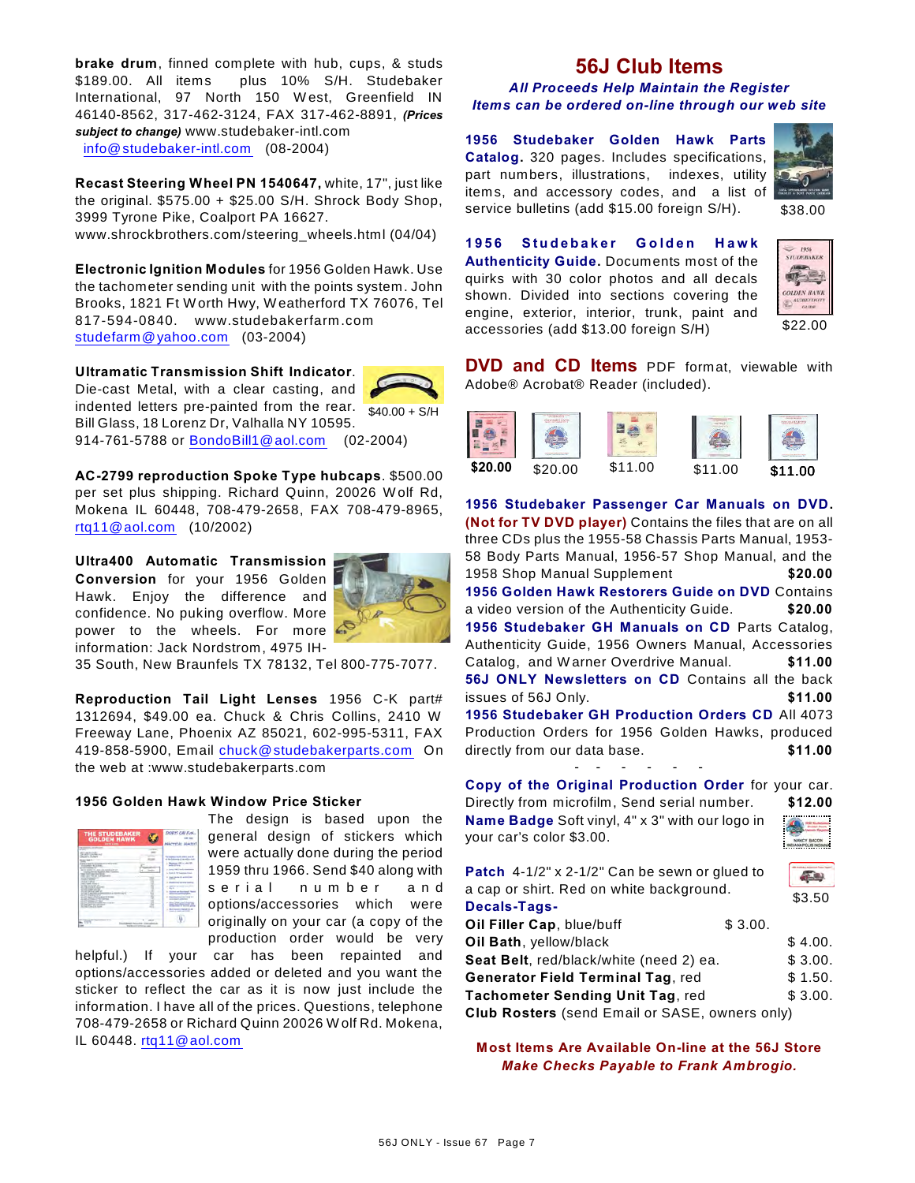**brake drum**, finned complete with hub, cups, & studs \$189.00. All items plus 10% S/H. Studebaker International, 97 North 150 W est, Greenfield IN 46140-8562, 317-462-3124, FAX 317-462-8891, *(Prices subject to change)* www.studebaker-intl.com [info@studebaker-intl.com](mailto:info@studebaker-intl.com) (08-2004)

**Recast Steering Wheel PN 1540647,** white, 17", just like the original. \$575.00 + \$25.00 S/H. Shrock Body Shop, 3999 Tyrone Pike, Coalport PA 16627. www.shrockbrothers.com/steering\_wheels.html (04/04)

**Electronic Ignition Modules** for 1956 Golden Hawk. Use the tachometer sending unit with the points system. John Brooks, 1821 Ft W orth Hwy, W eatherford TX 76076, Tel 817-594-0840. www.studebakerfarm .com [studefarm@yahoo.com](mailto:studefarm@yahoo.com) (03-2004)

**Ultramatic Transmission Shift Indicator**.

indented letters pre-painted from the rear.  $\frac{1}{40.00 + S/H}$ Die-cast Metal, with a clear casting, and Bill Glass, 18 Lorenz Dr, Valhalla NY 10595. 914-761-5788 or [BondoBill1@aol.com](mailto:BondoBill1@aol.com) (02-2004)

**AC-2799 reproduction Spoke Type hubcaps**. \$500.00 per set plus shipping. Richard Quinn, 20026 W olf Rd, Mokena IL 60448, 708-479-2658, FAX 708-479-8965, [rtq11@aol.com](mailto:rtq11@aol.com) (10/2002)

**Ultra400 Automatic Transmission Conversion** for your 1956 Golden Hawk. Enjoy the difference and confidence. No puking overflow. More power to the wheels. For more information: Jack Nordstrom, 4975 IH-



35 South, New Braunfels TX 78132, Tel 800-775-7077.

**Reproduction Tail Light Lenses** 1956 C-K part# 1312694, \$49.00 ea. Chuck & Chris Collins, 2410 W Freeway Lane, Phoenix AZ 85021, 602-995-5311, FAX 419-858-5900, Email [chuck@studebakerparts.com](mailto:chuck@studebakerparts.com) On the web at :www.studebakerparts.com

#### **1956 Golden Hawk Window Price Sticker**

| <b>THE STUDEBAKER</b><br><b>GOLDEN HAWK</b><br><b><i>ANCHO LANDS</i></b>                                                                                                                                                                                                                                                                                                                                                                                                                                                                                                                                                                                                                                                                                                       |     | <b>DIORYS CAR FUN</b>                                                                                                                                                                                                                                                                                                                                                                                                                                                                                                |
|--------------------------------------------------------------------------------------------------------------------------------------------------------------------------------------------------------------------------------------------------------------------------------------------------------------------------------------------------------------------------------------------------------------------------------------------------------------------------------------------------------------------------------------------------------------------------------------------------------------------------------------------------------------------------------------------------------------------------------------------------------------------------------|-----|----------------------------------------------------------------------------------------------------------------------------------------------------------------------------------------------------------------------------------------------------------------------------------------------------------------------------------------------------------------------------------------------------------------------------------------------------------------------------------------------------------------------|
| $-$<br><b>COLLECT</b><br><b>BELLEVILLE</b><br>a percentage of<br>Charles Colorado<br><b>Service Clinical</b><br>÷<br>Chief or barrier with many<br><b>CARD CARDS</b><br>the analysis and the boats.<br>and the property of<br>at the action " to us to allow assets a site at<br>the first and business has closed<br>and the second con-<br>the cash of an Editure and<br><b>CARD COMPANY</b><br>--<br><b>STATISTICS</b><br>.<br>a company than an expect off<br>the first and of the com-<br>--<br><b>STATISTICS</b><br><b>Call College Lands</b><br>Little Milestown Corp.<br>and and a distribution of the former<br>The Miles of Children<br>of the party and the co-<br>of the furniture director was more and<br>a long and an order of<br><b>School Country Street</b> |     | <b>South Albert Inc. A</b><br><b>Service</b><br><b>Suite of the Liverant</b><br><b>C. The Children of Address and</b><br>-<br><b>STATE</b><br><b>STATISTICS</b><br>$\sim$<br><b>STATE</b><br><b>Sight</b><br>۰<br><b>Roman and Recolousl To</b><br><b>Control Control State</b><br><b>C. Basebut that the</b><br>make the c<br><b>Allen Andrew Aren</b><br><b>Mary Colorado Constitution</b><br>٠<br>and additional and the<br>____<br><b>Build Account Secret A. A.</b><br>×<br>and the property state the property |
| the Charters and Dear of the<br><b><i><u>REGISTER</u></i></b>                                                                                                                                                                                                                                                                                                                                                                                                                                                                                                                                                                                                                                                                                                                  | . . |                                                                                                                                                                                                                                                                                                                                                                                                                                                                                                                      |

The design is based upon the general design of stickers which were actually done during the period 1959 thru 1966. Send \$40 along with s e r i a l n u m b e r a n d options/accessories which were originally on your car (a copy of the production order would be very

helpful.) If your car has been repainted and options/accessories added or deleted and you want the sticker to reflect the car as it is now just include the information. I have all of the prices. Questions, telephone 708-479-2658 or Richard Quinn 20026 W olf Rd. Mokena, IL 60448. [rtq11@aol.com](mailto:rtq11@aol.com)

## **56J Club Items**

#### *All Proceeds Help Maintain the Register Items can be ordered on-line through our web site*

**1956 Studebaker Golden Hawk Parts Catalog.** 320 pages. Includes specifications, part numbers, illustrations, indexes, utility items, and accessory codes, and a list of service bulletins (add \$15.00 foreign S/H).



\$38.00

**1956 Studebaker Golden Hawk Authenticity Guide.** Documents most of the quirks with 30 color photos and all decals shown. Divided into sections covering the engine, exterior, interior, trunk, paint and accessories (add \$13.00 foreign S/H)



**DVD and CD Items** PDF format, viewable with Adobe® Acrobat® Reader (included).



**1956 Studebaker Passenger Car Manuals on DVD. (Not for TV DVD player)** Contains the files that are on all three CDs plus the 1955-58 Chassis Parts Manual, 1953- 58 Body Parts Manual, 1956-57 Shop Manual, and the 1958 Shop Manual Supplement **\$20.00 1956 Golden Hawk Restorers Guide on DVD** Contains a video version of the Authenticity Guide. **\$20.00 1956 Studebaker GH Manuals on CD** Parts Catalog, Authenticity Guide, 1956 Owners Manual, Accessories Catalog, and W arner Overdrive Manual. **\$11.00 56J ONLY Newsletters on CD** Contains all the back issues of 56J Only. **\$11.00 1956 Studebaker GH Production Orders CD** All 4073 Production Orders for 1956 Golden Hawks, produced directly from our data base. **\$11.00**

- - - - - - **Copy of the Original Production Order** for your car. Directly from microfilm, Send serial number. **\$12.00 Name Badge** Soft vinyl, 4" x 3" with our logo in

your car's color \$3.00.



| <b>Patch</b> 4-1/2" x 2-1/2" Can be sewn or glued to |         |         |
|------------------------------------------------------|---------|---------|
| a cap or shirt. Red on white background.             |         | \$3.50  |
| Decals-Tags-                                         |         |         |
| Oil Filler Cap, blue/buff                            | \$3.00. |         |
| Oil Bath, yellow/black                               |         | \$4.00. |
| Seat Belt, red/black/white (need 2) ea.              |         | \$3.00. |
| Generator Field Terminal Tag, red                    |         |         |
| Tachometer Sending Unit Tag, red                     |         | \$3.00. |
| Club Rosters (send Email or SASE, owners only)       |         |         |

**Most Items Are Available On-line at the 56J Store** *Make Checks Payable to Frank Ambrogio.*